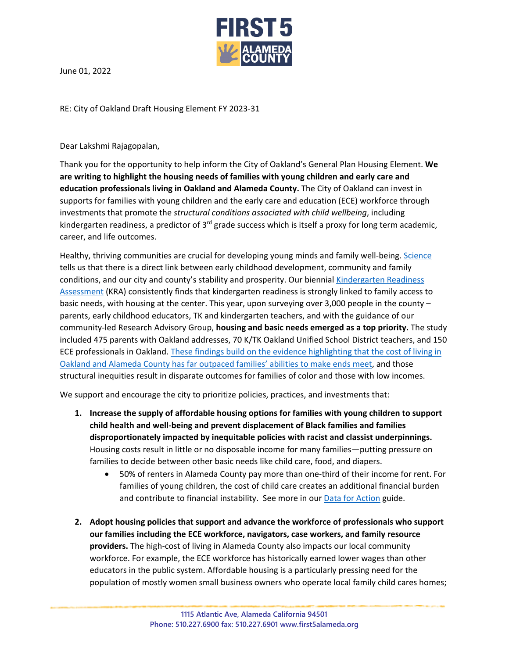

June 01, 2022

RE: City of Oakland Draft Housing Element FY 2023-31

Dear Lakshmi Rajagopalan,

Thank you for the opportunity to help inform the City of Oakland's General Plan Housing Element. **We are writing to highlight the housing needs of families with young children and early care and education professionals living in Oakland and Alameda County.** The City of Oakland can invest in supports for families with young children and the early care and education (ECE) workforce through investments that promote the *structural conditions associated with child wellbeing*, including kindergarten readiness, a predictor of  $3<sup>rd</sup>$  grade success which is itself a proxy for long term academic, career, and life outcomes.

Healthy, thriving communities are crucial for developing young minds and family well-being. [Science](https://nam.edu/the-interdependence-of-families-communities-and-childrens-health-public-investments-that-strengthen-families-and-communities-and-promote-childrens-healthy-development-and-societal-prosperity/) tells us that there is a direct link between early childhood development, community and family conditions, and our city and county's stability and prosperity. Our biennial [Kindergarten Readiness](http://www.first5alameda.org/files/Alameda%20First%205%20FULL%20REPORT%20FINAL%20rev%202.19.20.pdf)  [Assessment](http://www.first5alameda.org/files/Alameda%20First%205%20FULL%20REPORT%20FINAL%20rev%202.19.20.pdf) (KRA) consistently finds that kindergarten readiness is strongly linked to family access to basic needs, with housing at the center. This year, upon surveying over 3,000 people in the county – parents, early childhood educators, TK and kindergarten teachers, and with the guidance of our community-led Research Advisory Group, **housing and basic needs emerged as a top priority.** The study included 475 parents with Oakland addresses, 70 K/TK Oakland Unified School District teachers, and 150 ECE professionals in Oakland[. These findings build on the evidence highlighting that the cost of living in](http://www.first5alameda.org/files/Data%20Action%20Guide%202021%20121421.pdf)  [Oakland and Alameda County has far outpaced families' abilities to make ends meet,](http://www.first5alameda.org/files/Data%20Action%20Guide%202021%20121421.pdf) and those structural inequities result in disparate outcomes for families of color and those with low incomes.

We support and encourage the city to prioritize policies, practices, and investments that:

- **1. Increase the supply of affordable housing options for families with young children to support child health and well-being and prevent displacement of Black families and families disproportionately impacted by inequitable policies with racist and classist underpinnings.**  Housing costs result in little or no disposable income for many families—putting pressure on families to decide between other basic needs like child care, food, and diapers.
	- 50% of renters in Alameda County pay more than one-third of their income for rent. For families of young children, the cost of child care creates an additional financial burden and contribute to financial instability. See more in our **Data for Action** guide.
- **2. Adopt housing policies that support and advance the workforce of professionals who support our families including the ECE workforce, navigators, case workers, and family resource providers.** The high-cost of living in Alameda County also impacts our local community workforce. For example, the ECE workforce has historically earned lower wages than other educators in the public system. Affordable housing is a particularly pressing need for the population of mostly women small business owners who operate local family child cares homes;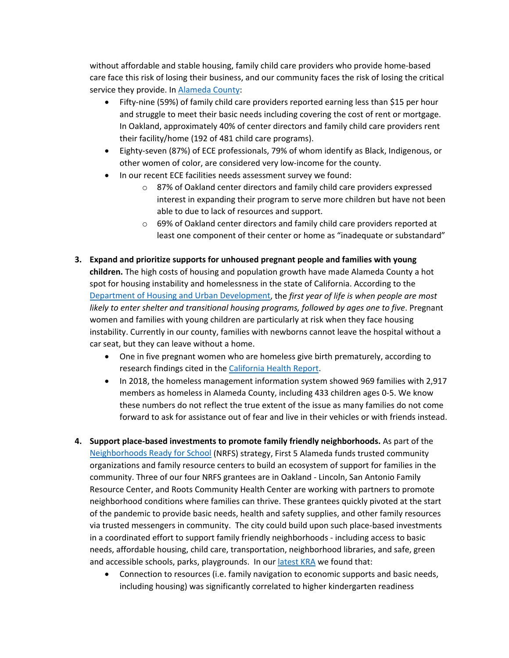without affordable and stable housing, family child care providers who provide home-based care face this risk of losing their business, and our community faces the risk of losing the critical service they provide. I[n Alameda County:](http://www.first5alameda.org/files/Data%20Action%20Guide%202021%20121421.pdf)

- Fifty-nine (59%) of family child care providers reported earning less than \$15 per hour and struggle to meet their basic needs including covering the cost of rent or mortgage. In Oakland, approximately 40% of center directors and family child care providers rent their facility/home (192 of 481 child care programs).
- Eighty-seven (87%) of ECE professionals, 79% of whom identify as Black, Indigenous, or other women of color, are considered very low-income for the county.
- In our recent ECE facilities needs assessment survey we found:
	- o 87% of Oakland center directors and family child care providers expressed interest in expanding their program to serve more children but have not been able to due to lack of resources and support.
	- o 69% of Oakland center directors and family child care providers reported at least one component of their center or home as "inadequate or substandard"
- **3. Expand and prioritize supports for unhoused pregnant people and families with young children.** The high costs of housing and population growth have made Alameda County a hot spot for housing instability and homelessness in the state of California. According to the [Department of Housing and Urban Development,](https://www.huduser.gov/portal/portal/sites/default/files/pdf/FamilyOptionsStudy_final.pdf) the *first year of life is when people are most likely to enter shelter and transitional housing programs, followed by ages one to five*. Pregnant women and families with young children are particularly at risk when they face housing instability. Currently in our county, families with newborns cannot leave the hospital without a car seat, but they can leave without a home.
	- One in five pregnant women who are homeless give birth prematurely, according to research findings cited in th[e California Health Report.](https://www.calhealthreport.org/2018/05/14/ucsf-researchers-homeless-pregnant-women-need-priority-housing-support/)
	- In 2018, the homeless management information system showed 969 families with 2,917 members as homeless in Alameda County, including 433 children ages 0-5. We know these numbers do not reflect the true extent of the issue as many families do not come forward to ask for assistance out of fear and live in their vehicles or with friends instead.
- **4. Support place-based investments to promote family friendly neighborhoods.** As part of the [Neighborhoods Ready for School](http://www.first5alameda.org/neighborhoods-ready-for-school#:%7E:text=Neighborhoods%20Ready%20for%20School%20%28NRFS%29%20is%20a%20place-based,kindergarten%20readiness.%20The%20goals%20of%20NRFS%20are%20to%3A) (NRFS) strategy, First 5 Alameda funds trusted community organizations and family resource centers to build an ecosystem of support for families in the community. Three of our four NRFS grantees are in Oakland - Lincoln, San Antonio Family Resource Center, and Roots Community Health Center are working with partners to promote neighborhood conditions where families can thrive. These grantees quickly pivoted at the start of the pandemic to provide basic needs, health and safety supplies, and other family resources via trusted messengers in community. The city could build upon such place-based investments in a coordinated effort to support family friendly neighborhoods - including access to basic needs, affordable housing, child care, transportation, neighborhood libraries, and safe, green and accessible schools, parks, playgrounds. In our [latest KRA](http://www.first5alameda.org/files/Commission%202021%20Alameda%20KRA%20Survey%20Results%20Commission%20Presentation%20DRAFT%204.13.22.pdf) we found that:
	- Connection to resources (i.e. family navigation to economic supports and basic needs, including housing) was significantly correlated to higher kindergarten readiness